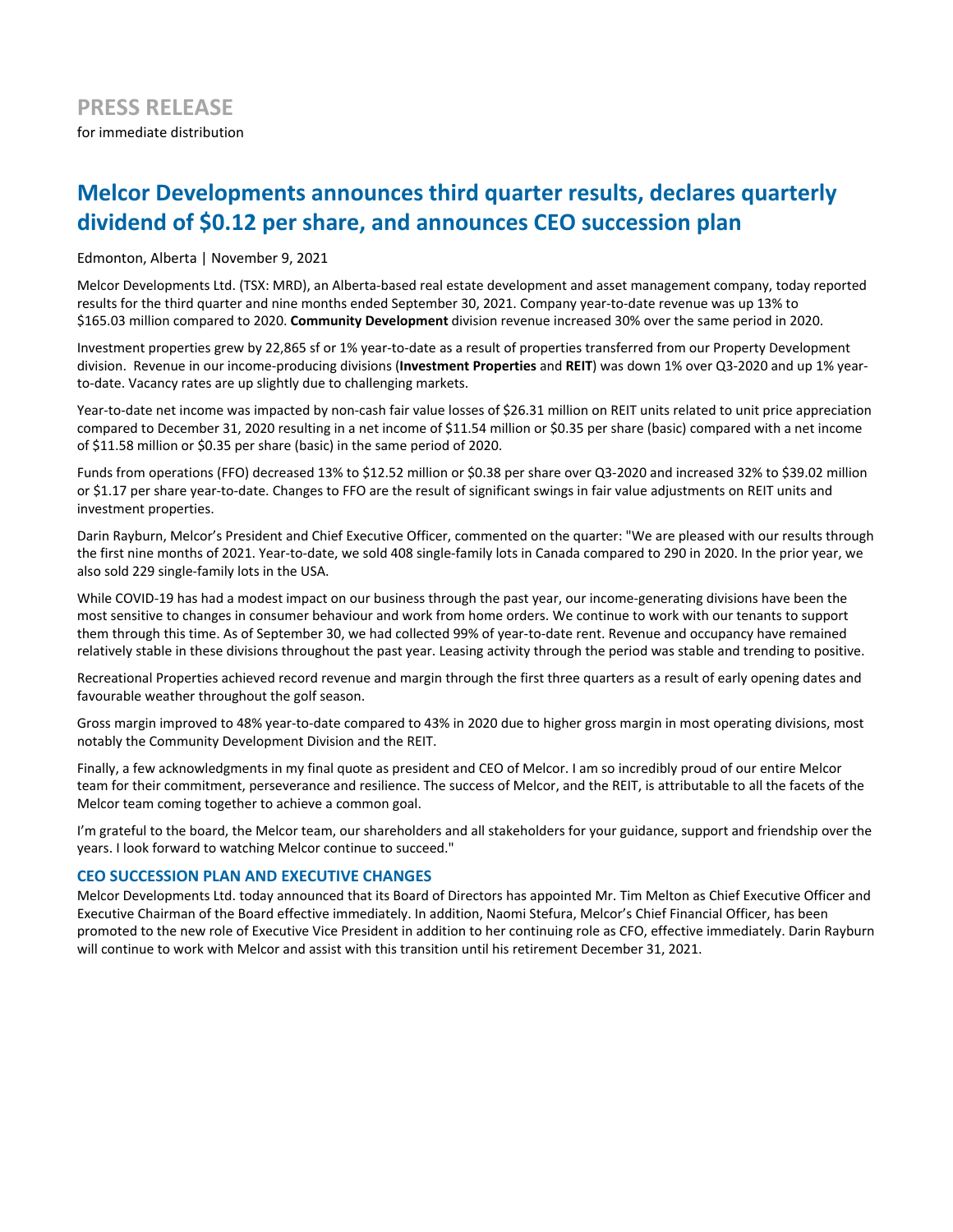# **Melcor Developments announces third quarter results, declares quarterly** dividend of \$0.12 per share, and announces CEO succession plan

Edmonton, Alberta | November 9, 2021

Melcor Developments Ltd. (TSX: MRD), an Alberta-based real estate development and asset management company, today reported results for the third quarter and nine months ended September 30, 2021. Company year-to-date revenue was up 13% to \$165.03 million compared to 2020. **Community Development** division revenue increased 30% over the same period in 2020.

Investment properties grew by 22,865 sf or 1% year-to-date as a result of properties transferred from our Property Development division. Revenue in our income-producing divisions (Investment Properties and REIT) was down 1% over Q3-2020 and up 1% yearto-date. Vacancy rates are up slightly due to challenging markets.

Year-to-date net income was impacted by non-cash fair value losses of \$26.31 million on REIT units related to unit price appreciation compared to December 31, 2020 resulting in a net income of \$11.54 million or \$0.35 per share (basic) compared with a net income of \$11.58 million or \$0.35 per share (basic) in the same period of 2020.

Funds from operations (FFO) decreased 13% to \$12.52 million or \$0.38 per share over Q3-2020 and increased 32% to \$39.02 million or \$1.17 per share year-to-date. Changes to FFO are the result of significant swings in fair value adjustments on REIT units and investment properties.

Darin Rayburn, Melcor's President and Chief Executive Officer, commented on the quarter: "We are pleased with our results through the first nine months of 2021. Year-to-date, we sold 408 single-family lots in Canada compared to 290 in 2020. In the prior year, we also sold 229 single-family lots in the USA.

While COVID-19 has had a modest impact on our business through the past year, our income-generating divisions have been the most sensitive to changes in consumer behaviour and work from home orders. We continue to work with our tenants to support them through this time. As of September 30, we had collected 99% of year-to-date rent. Revenue and occupancy have remained relatively stable in these divisions throughout the past year. Leasing activity through the period was stable and trending to positive.

Recreational Properties achieved record revenue and margin through the first three quarters as a result of early opening dates and favourable weather throughout the golf season.

Gross margin improved to 48% year-to-date compared to 43% in 2020 due to higher gross margin in most operating divisions, most notably the Community Development Division and the REIT.

Finally, a few acknowledgments in my final quote as president and CEO of Melcor. I am so incredibly proud of our entire Melcor team for their commitment, perseverance and resilience. The success of Melcor, and the REIT, is attributable to all the facets of the Melcor team coming together to achieve a common goal.

I'm grateful to the board, the Melcor team, our shareholders and all stakeholders for your guidance, support and friendship over the years. I look forward to watching Melcor continue to succeed."

### **CEO SUCCESSION PLAN AND EXECUTIVE CHANGES**

Melcor Developments Ltd. today announced that its Board of Directors has appointed Mr. Tim Melton as Chief Executive Officer and Executive Chairman of the Board effective immediately. In addition, Naomi Stefura, Melcor's Chief Financial Officer, has been promoted to the new role of Executive Vice President in addition to her continuing role as CFO, effective immediately. Darin Rayburn will continue to work with Melcor and assist with this transition until his retirement December 31, 2021.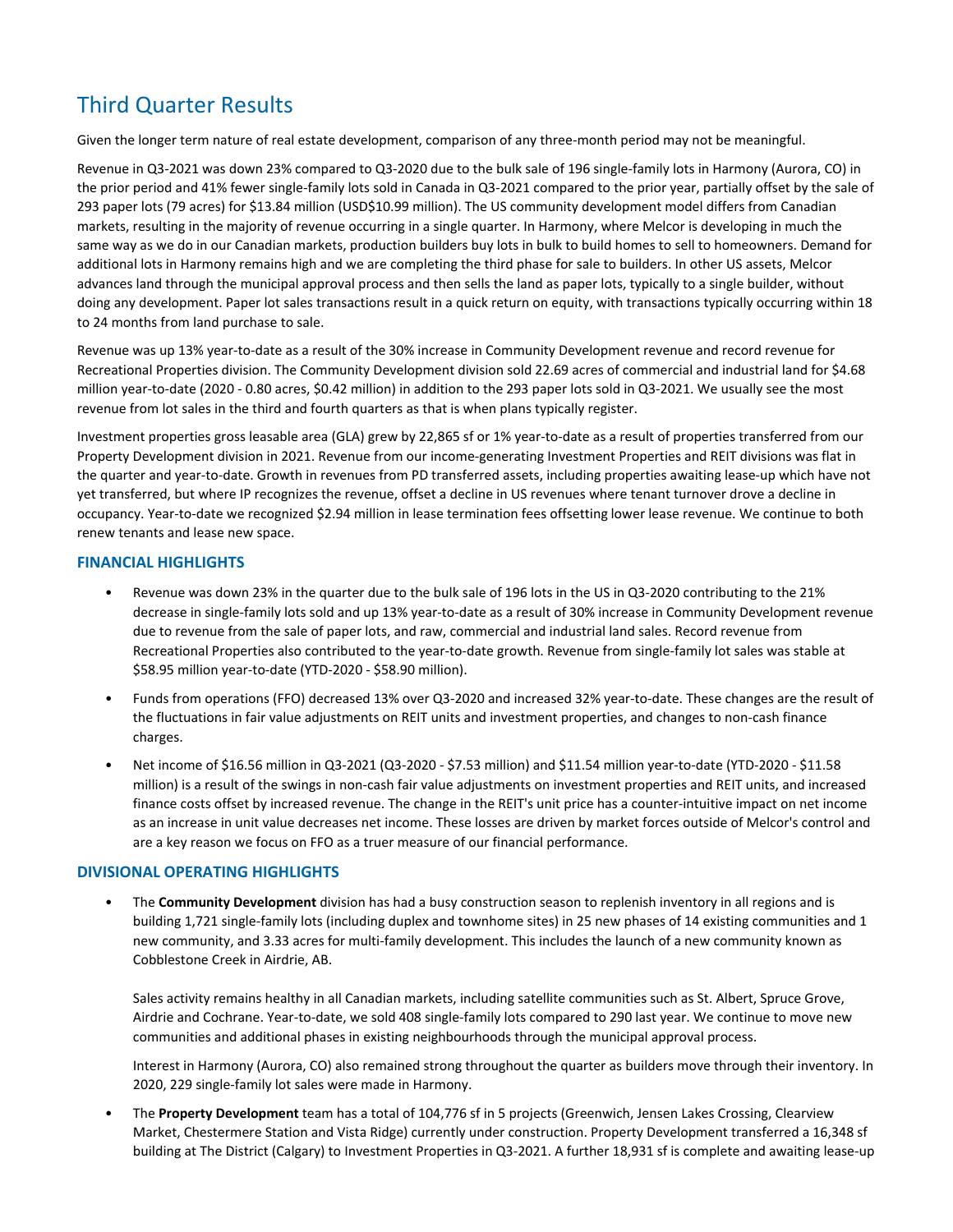# Third Quarter Results

Given the longer term nature of real estate development, comparison of any three-month period may not be meaningful.

Revenue in Q3-2021 was down 23% compared to Q3-2020 due to the bulk sale of 196 single-family lots in Harmony (Aurora, CO) in the prior period and 41% fewer single-family lots sold in Canada in Q3-2021 compared to the prior year, partially offset by the sale of 293 paper lots (79 acres) for \$13.84 million (USD\$10.99 million). The US community development model differs from Canadian markets, resulting in the majority of revenue occurring in a single quarter. In Harmony, where Melcor is developing in much the same way as we do in our Canadian markets, production builders buy lots in bulk to build homes to sell to homeowners. Demand for additional lots in Harmony remains high and we are completing the third phase for sale to builders. In other US assets, Melcor advances land through the municipal approval process and then sells the land as paper lots, typically to a single builder, without doing any development. Paper lot sales transactions result in a quick return on equity, with transactions typically occurring within 18 to 24 months from land purchase to sale.

Revenue was up 13% year-to-date as a result of the 30% increase in Community Development revenue and record revenue for Recreational Properties division. The Community Development division sold 22.69 acres of commercial and industrial land for \$4.68 million year-to-date (2020 - 0.80 acres, \$0.42 million) in addition to the 293 paper lots sold in Q3-2021. We usually see the most revenue from lot sales in the third and fourth quarters as that is when plans typically register.

Investment properties gross leasable area (GLA) grew by 22,865 sf or 1% year-to-date as a result of properties transferred from our Property Development division in 2021. Revenue from our income-generating Investment Properties and REIT divisions was flat in the quarter and year-to-date. Growth in revenues from PD transferred assets, including properties awaiting lease-up which have not yet transferred, but where IP recognizes the revenue, offset a decline in US revenues where tenant turnover drove a decline in occupancy. Year-to-date we recognized \$2.94 million in lease termination fees offsetting lower lease revenue. We continue to both renew tenants and lease new space.

## **FINANCIAL HIGHLIGHTS**

- Revenue was down 23% in the quarter due to the bulk sale of 196 lots in the US in Q3-2020 contributing to the 21% decrease in single-family lots sold and up 13% year-to-date as a result of 30% increase in Community Development revenue due to revenue from the sale of paper lots, and raw, commercial and industrial land sales. Record revenue from Recreational Properties also contributed to the year-to-date growth. Revenue from single-family lot sales was stable at \$58.95 million year-to-date (YTD-2020 - \$58.90 million).
- Funds from operations (FFO) decreased 13% over Q3-2020 and increased 32% year-to-date. These changes are the result of the fluctuations in fair value adjustments on REIT units and investment properties, and changes to non-cash finance charges.
- Net income of \$16.56 million in Q3-2021 (Q3-2020 \$7.53 million) and \$11.54 million year-to-date (YTD-2020 \$11.58 million) is a result of the swings in non-cash fair value adjustments on investment properties and REIT units, and increased finance costs offset by increased revenue. The change in the REIT's unit price has a counter-intuitive impact on net income as an increase in unit value decreases net income. These losses are driven by market forces outside of Melcor's control and are a key reason we focus on FFO as a truer measure of our financial performance.

## **DIVISIONAL OPERATING HIGHLIGHTS**

The **Community Development** division has had a busy construction season to replenish inventory in all regions and is building 1,721 single-family lots (including duplex and townhome sites) in 25 new phases of 14 existing communities and 1 new community, and 3.33 acres for multi-family development. This includes the launch of a new community known as Cobblestone Creek in Airdrie, AB.

Sales activity remains healthy in all Canadian markets, including satellite communities such as St. Albert, Spruce Grove, Airdrie and Cochrane. Year-to-date, we sold 408 single-family lots compared to 290 last year. We continue to move new communities and additional phases in existing neighbourhoods through the municipal approval process.

Interest in Harmony (Aurora, CO) also remained strong throughout the quarter as builders move through their inventory. In 2020, 229 single-family lot sales were made in Harmony.

The Property Development team has a total of 104,776 sf in 5 projects (Greenwich, Jensen Lakes Crossing, Clearview Market, Chestermere Station and Vista Ridge) currently under construction. Property Development transferred a 16,348 sf building at The District (Calgary) to Investment Properties in Q3-2021. A further 18,931 sf is complete and awaiting lease-up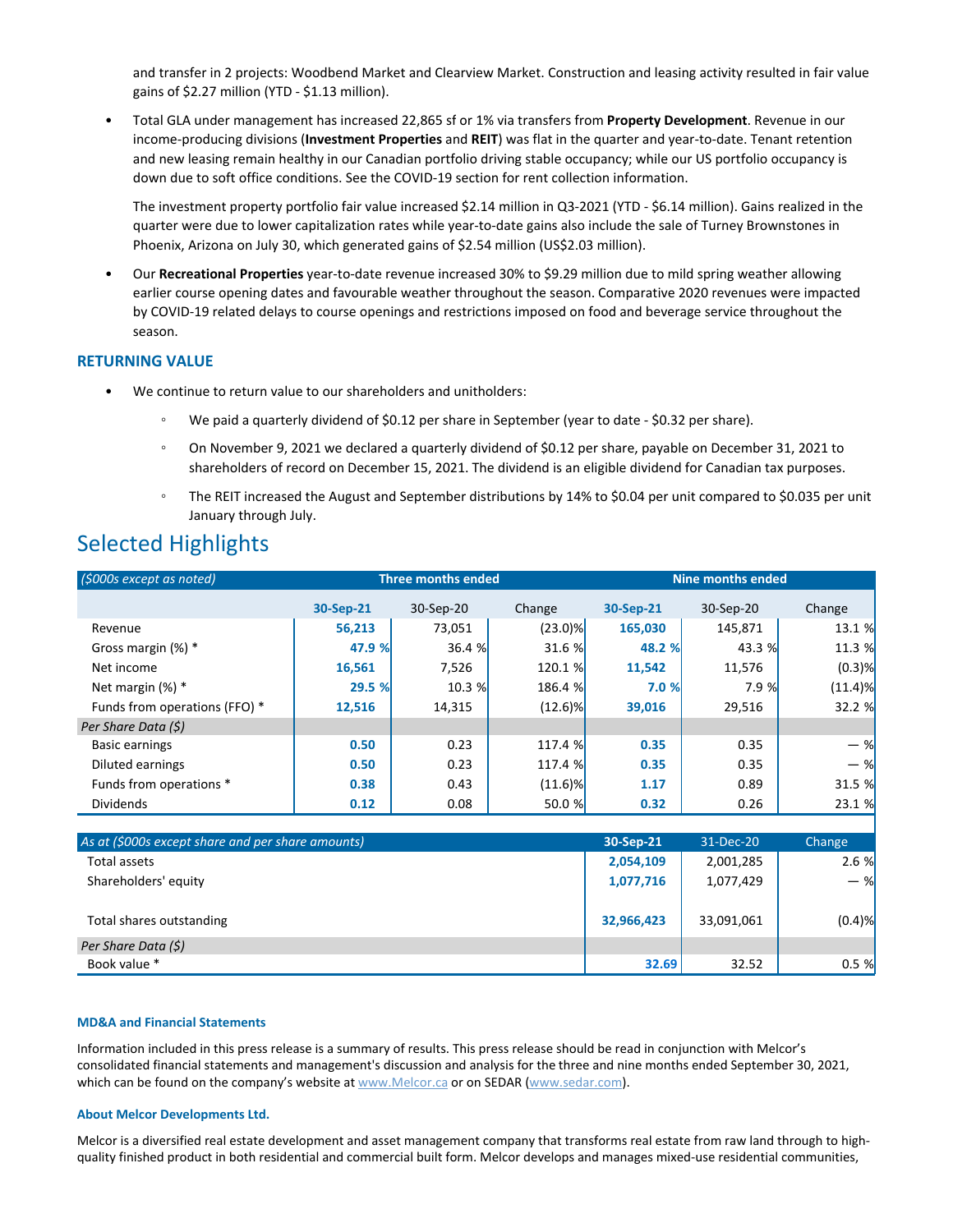and transfer in 2 projects: Woodbend Market and Clearview Market. Construction and leasing activity resulted in fair value gains of \$2.27 million (YTD - \$1.13 million).

Total GLA under management has increased 22,865 sf or 1% via transfers from Property Development. Revenue in our income-producing divisions (Investment Properties and REIT) was flat in the quarter and year-to-date. Tenant retention and new leasing remain healthy in our Canadian portfolio driving stable occupancy; while our US portfolio occupancy is down due to soft office conditions. See the COVID-19 section for rent collection information.

The investment property portfolio fair value increased \$2.14 million in Q3-2021 (YTD - \$6.14 million). Gains realized in the quarter were due to lower capitalization rates while year-to-date gains also include the sale of Turney Brownstones in Phoenix, Arizona on July 30, which generated gains of \$2.54 million (US\$2.03 million).

Our Recreational Properties year-to-date revenue increased 30% to \$9.29 million due to mild spring weather allowing earlier course opening dates and favourable weather throughout the season. Comparative 2020 revenues were impacted by COVID-19 related delays to course openings and restrictions imposed on food and beverage service throughout the season. 

### **RETURNING VALUE**

- We continue to return value to our shareholders and unitholders:
	- We paid a quarterly dividend of \$0.12 per share in September (year to date \$0.32 per share).
	- On November 9, 2021 we declared a quarterly dividend of \$0.12 per share, payable on December 31, 2021 to shareholders of record on December 15, 2021. The dividend is an eligible dividend for Canadian tax purposes.
	- The REIT increased the August and September distributions by 14% to \$0.04 per unit compared to \$0.035 per unit January through July.

## Selected Highlights

| (\$000s except as noted)                          | <b>Three months ended</b> |           |            | <b>Nine months ended</b> |            |            |
|---------------------------------------------------|---------------------------|-----------|------------|--------------------------|------------|------------|
|                                                   | 30-Sep-21                 | 30-Sep-20 | Change     | 30-Sep-21                | 30-Sep-20  | Change     |
| Revenue                                           | 56,213                    | 73,051    | $(23.0)\%$ | 165,030                  | 145,871    | 13.1 %     |
| Gross margin (%) *                                | 47.9 %                    | 36.4 %    | 31.6 %     | 48.2 %                   | 43.3 %     | 11.3 %     |
| Net income                                        | 16,561                    | 7,526     | 120.1 %    | 11,542                   | 11,576     | $(0.3)$ %  |
| Net margin $(\%)$ *                               | 29.5 %                    | 10.3 %    | 186.4 %    | 7.0%                     | 7.9%       | $(11.4)$ % |
| Funds from operations (FFO) *                     | 12,516                    | 14,315    | $(12.6)$ % | 39,016                   | 29,516     | 32.2 %     |
| Per Share Data (\$)                               |                           |           |            |                          |            |            |
| <b>Basic earnings</b>                             | 0.50                      | 0.23      | 117.4 %    | 0.35                     | 0.35       | $-$ %      |
| Diluted earnings                                  | 0.50                      | 0.23      | 117.4 %    | 0.35                     | 0.35       | $-$ %      |
| Funds from operations *                           | 0.38                      | 0.43      | $(11.6)\%$ | 1.17                     | 0.89       | 31.5 %     |
| <b>Dividends</b>                                  | 0.12                      | 0.08      | 50.0%      | 0.32                     | 0.26       | 23.1 %     |
|                                                   |                           |           |            |                          |            |            |
| As at (\$000s except share and per share amounts) |                           |           |            | 30-Sep-21                | 31-Dec-20  | Change     |
| <b>Total assets</b>                               |                           |           |            | 2,054,109                | 2,001,285  | 2.6%       |
| Shareholders' equity                              |                           |           |            | 1,077,716                | 1,077,429  | $-$ %      |
| Total shares outstanding                          |                           |           |            | 32,966,423               | 33,091,061 | $(0.4)$ %  |
| Per Share Data (\$)                               |                           |           |            |                          |            |            |
| Book value *                                      |                           |           |            | 32.69                    | 32.52      | 0.5%       |

### **MD&A and Financial Statements**

Information included in this press release is a summary of results. This press release should be read in conjunction with Melcor's consolidated financial statements and management's discussion and analysis for the three and nine months ended September 30, 2021, which can be found on the company's website at www.Melcor.ca or on SEDAR (www.sedar.com).

### **About Melcor Developments Ltd.**

Melcor is a diversified real estate development and asset management company that transforms real estate from raw land through to highquality finished product in both residential and commercial built form. Melcor develops and manages mixed-use residential communities,